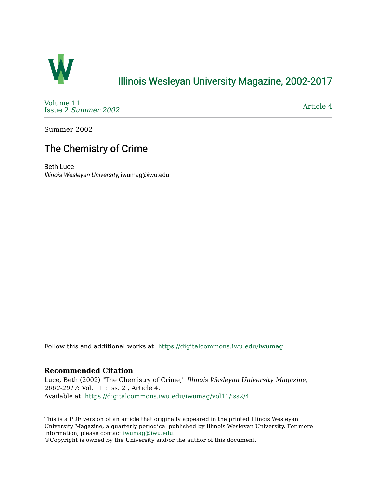

# [Illinois Wesleyan University Magazine, 2002-2017](https://digitalcommons.iwu.edu/iwumag)

[Volume 11](https://digitalcommons.iwu.edu/iwumag/vol11)  Issue 2 [Summer 2002](https://digitalcommons.iwu.edu/iwumag/vol11/iss2) 

[Article 4](https://digitalcommons.iwu.edu/iwumag/vol11/iss2/4) 

Summer 2002

# The Chemistry of Crime

Beth Luce Illinois Wesleyan University, iwumag@iwu.edu

Follow this and additional works at: [https://digitalcommons.iwu.edu/iwumag](https://digitalcommons.iwu.edu/iwumag?utm_source=digitalcommons.iwu.edu%2Fiwumag%2Fvol11%2Fiss2%2F4&utm_medium=PDF&utm_campaign=PDFCoverPages) 

### **Recommended Citation**

Luce, Beth (2002) "The Chemistry of Crime," Illinois Wesleyan University Magazine, 2002-2017: Vol. 11 : Iss. 2 , Article 4. Available at: [https://digitalcommons.iwu.edu/iwumag/vol11/iss2/4](https://digitalcommons.iwu.edu/iwumag/vol11/iss2/4?utm_source=digitalcommons.iwu.edu%2Fiwumag%2Fvol11%2Fiss2%2F4&utm_medium=PDF&utm_campaign=PDFCoverPages)

This is a PDF version of an article that originally appeared in the printed Illinois Wesleyan University Magazine, a quarterly periodical published by Illinois Wesleyan University. For more information, please contact [iwumag@iwu.edu](mailto:iwumag@iwu.edu).

©Copyright is owned by the University and/or the author of this document.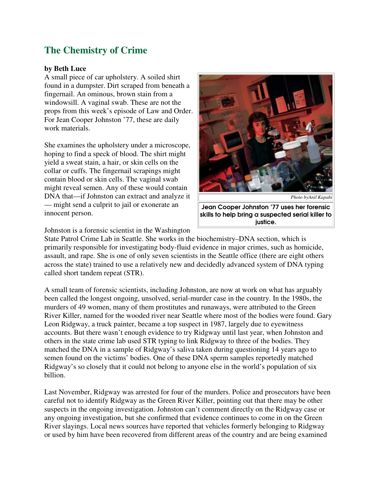# **The Chemistry of Crime**

#### **by Beth Luce**

A small piece of car upholstery. A soiled shirt found in a dumpster. Dirt scraped from beneath a fingernail. An ominous, brown stain from a windowsill. A vaginal swab. These are not the props from this week's episode of Law and Order. For Jean Cooper Johnston '77, these are daily work materials.

She examines the upholstery under a microscope, hoping to find a speck of blood. The shirt might yield a sweat stain, a hair, or skin cells on the collar or cuffs. The fingernail scrapings might contain blood or skin cells. The vaginal swab might reveal semen. Any of these would contain DNA that—if Johnston can extract and analyze it — might send a culprit to jail or exonerate an innocent person.



*Photo byAnil Kapahi* Jean Cooper Johnston '77 uses her forensic skills to help bring a suspected serial killer to justice.

Johnston is a forensic scientist in the Washington

State Patrol Crime Lab in Seattle. She works in the biochemistry–DNA section, which is primarily responsible for investigating body-fluid evidence in major crimes, such as homicide, assault, and rape. She is one of only seven scientists in the Seattle office (there are eight others across the state) trained to use a relatively new and decidedly advanced system of DNA typing called short tandem repeat (STR).

A small team of forensic scientists, including Johnston, are now at work on what has arguably been called the longest ongoing, unsolved, serial-murder case in the country. In the 1980s, the murders of 49 women, many of them prostitutes and runaways, were attributed to the Green River Killer, named for the wooded river near Seattle where most of the bodies were found. Gary Leon Ridgway, a truck painter, became a top suspect in 1987, largely due to eyewitness accounts. But there wasn't enough evidence to try Ridgway until last year, when Johnston and others in the state crime lab used STR typing to link Ridgway to three of the bodies. They matched the DNA in a sample of Ridgway's saliva taken during questioning 14 years ago to semen found on the victims' bodies. One of these DNA sperm samples reportedly matched Ridgway's so closely that it could not belong to anyone else in the world's population of six billion.

Last November, Ridgway was arrested for four of the murders. Police and prosecutors have been careful not to identify Ridgway as the Green River Killer, pointing out that there may be other suspects in the ongoing investigation. Johnston can't comment directly on the Ridgway case or any ongoing investigation, but she confirmed that evidence continues to come in on the Green River slayings. Local news sources have reported that vehicles formerly belonging to Ridgway or used by him have been recovered from different areas of the country and are being examined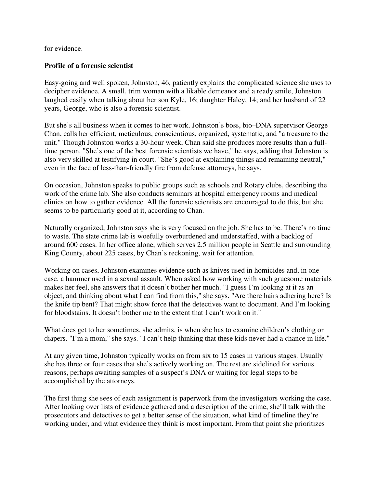for evidence.

## **Profile of a forensic scientist**

Easy-going and well spoken, Johnston, 46, patiently explains the complicated science she uses to decipher evidence. A small, trim woman with a likable demeanor and a ready smile, Johnston laughed easily when talking about her son Kyle, 16; daughter Haley, 14; and her husband of 22 years, George, who is also a forensic scientist.

But she's all business when it comes to her work. Johnston's boss, bio–DNA supervisor George Chan, calls her efficient, meticulous, conscientious, organized, systematic, and "a treasure to the unit." Though Johnston works a 30-hour week, Chan said she produces more results than a fulltime person. "She's one of the best forensic scientists we have," he says, adding that Johnston is also very skilled at testifying in court. "She's good at explaining things and remaining neutral," even in the face of less-than-friendly fire from defense attorneys, he says.

On occasion, Johnston speaks to public groups such as schools and Rotary clubs, describing the work of the crime lab. She also conducts seminars at hospital emergency rooms and medical clinics on how to gather evidence. All the forensic scientists are encouraged to do this, but she seems to be particularly good at it, according to Chan.

Naturally organized, Johnston says she is very focused on the job. She has to be. There's no time to waste. The state crime lab is woefully overburdened and understaffed, with a backlog of around 600 cases. In her office alone, which serves 2.5 million people in Seattle and surrounding King County, about 225 cases, by Chan's reckoning, wait for attention.

Working on cases, Johnston examines evidence such as knives used in homicides and, in one case, a hammer used in a sexual assault. When asked how working with such gruesome materials makes her feel, she answers that it doesn't bother her much. "I guess I'm looking at it as an object, and thinking about what I can find from this," she says. "Are there hairs adhering here? Is the knife tip bent? That might show force that the detectives want to document. And I'm looking for bloodstains. It doesn't bother me to the extent that I can't work on it."

What does get to her sometimes, she admits, is when she has to examine children's clothing or diapers. "I'm a mom," she says. "I can't help thinking that these kids never had a chance in life."

At any given time, Johnston typically works on from six to 15 cases in various stages. Usually she has three or four cases that she's actively working on. The rest are sidelined for various reasons, perhaps awaiting samples of a suspect's DNA or waiting for legal steps to be accomplished by the attorneys.

The first thing she sees of each assignment is paperwork from the investigators working the case. After looking over lists of evidence gathered and a description of the crime, she'll talk with the prosecutors and detectives to get a better sense of the situation, what kind of timeline they're working under, and what evidence they think is most important. From that point she prioritizes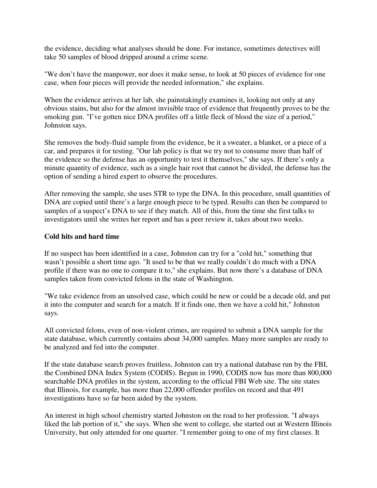the evidence, deciding what analyses should be done. For instance, sometimes detectives will take 50 samples of blood dripped around a crime scene.

"We don't have the manpower, nor does it make sense, to look at 50 pieces of evidence for one case, when four pieces will provide the needed information," she explains.

When the evidence arrives at her lab, she painstakingly examines it, looking not only at any obvious stains, but also for the almost invisible trace of evidence that frequently proves to be the smoking gun. "I've gotten nice DNA profiles off a little fleck of blood the size of a period," Johnston says.

She removes the body-fluid sample from the evidence, be it a sweater, a blanket, or a piece of a car, and prepares it for testing. "Our lab policy is that we try not to consume more than half of the evidence so the defense has an opportunity to test it themselves," she says. If there's only a minute quantity of evidence, such as a single hair root that cannot be divided, the defense has the option of sending a hired expert to observe the procedures.

After removing the sample, she uses STR to type the DNA. In this procedure, small quantities of DNA are copied until there's a large enough piece to be typed. Results can then be compared to samples of a suspect's DNA to see if they match. All of this, from the time she first talks to investigators until she writes her report and has a peer review it, takes about two weeks.

#### **Cold hits and hard time**

If no suspect has been identified in a case, Johnston can try for a "cold hit," something that wasn't possible a short time ago. "It used to be that we really couldn't do much with a DNA profile if there was no one to compare it to," she explains. But now there's a database of DNA samples taken from convicted felons in the state of Washington.

"We take evidence from an unsolved case, which could be new or could be a decade old, and put it into the computer and search for a match. If it finds one, then we have a cold hit," Johnston says.

All convicted felons, even of non-violent crimes, are required to submit a DNA sample for the state database, which currently contains about 34,000 samples. Many more samples are ready to be analyzed and fed into the computer.

If the state database search proves fruitless, Johnston can try a national database run by the FBI, the Combined DNA Index System (CODIS). Begun in 1990, CODIS now has more than 800,000 searchable DNA profiles in the system, according to the official FBI Web site. The site states that Illinois, for example, has more than 22,000 offender profiles on record and that 491 investigations have so far been aided by the system.

An interest in high school chemistry started Johnston on the road to her profession. "I always liked the lab portion of it," she says. When she went to college, she started out at Western Illinois University, but only attended for one quarter. "I remember going to one of my first classes. It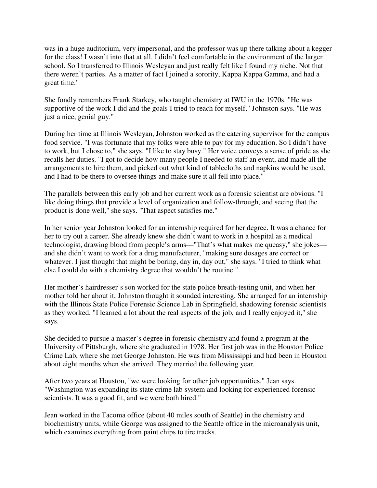was in a huge auditorium, very impersonal, and the professor was up there talking about a kegger for the class! I wasn't into that at all. I didn't feel comfortable in the environment of the larger school. So I transferred to Illinois Wesleyan and just really felt like I found my niche. Not that there weren't parties. As a matter of fact I joined a sorority, Kappa Kappa Gamma, and had a great time."

She fondly remembers Frank Starkey, who taught chemistry at IWU in the 1970s. "He was supportive of the work I did and the goals I tried to reach for myself," Johnston says. "He was just a nice, genial guy."

During her time at Illinois Wesleyan, Johnston worked as the catering supervisor for the campus food service. "I was fortunate that my folks were able to pay for my education. So I didn't have to work, but I chose to," she says. "I like to stay busy." Her voice conveys a sense of pride as she recalls her duties. "I got to decide how many people I needed to staff an event, and made all the arrangements to hire them, and picked out what kind of tablecloths and napkins would be used, and I had to be there to oversee things and make sure it all fell into place."

The parallels between this early job and her current work as a forensic scientist are obvious. "I like doing things that provide a level of organization and follow-through, and seeing that the product is done well," she says. "That aspect satisfies me."

In her senior year Johnston looked for an internship required for her degree. It was a chance for her to try out a career. She already knew she didn't want to work in a hospital as a medical technologist, drawing blood from people's arms—"That's what makes me queasy," she jokes and she didn't want to work for a drug manufacturer, "making sure dosages are correct or whatever. I just thought that might be boring, day in, day out," she says. "I tried to think what else I could do with a chemistry degree that wouldn't be routine."

Her mother's hairdresser's son worked for the state police breath-testing unit, and when her mother told her about it, Johnston thought it sounded interesting. She arranged for an internship with the Illinois State Police Forensic Science Lab in Springfield, shadowing forensic scientists as they worked. "I learned a lot about the real aspects of the job, and I really enjoyed it," she says.

She decided to pursue a master's degree in forensic chemistry and found a program at the University of Pittsburgh, where she graduated in 1978. Her first job was in the Houston Police Crime Lab, where she met George Johnston. He was from Mississippi and had been in Houston about eight months when she arrived. They married the following year.

After two years at Houston, "we were looking for other job opportunities," Jean says. "Washington was expanding its state crime lab system and looking for experienced forensic scientists. It was a good fit, and we were both hired."

Jean worked in the Tacoma office (about 40 miles south of Seattle) in the chemistry and biochemistry units, while George was assigned to the Seattle office in the microanalysis unit, which examines everything from paint chips to tire tracks.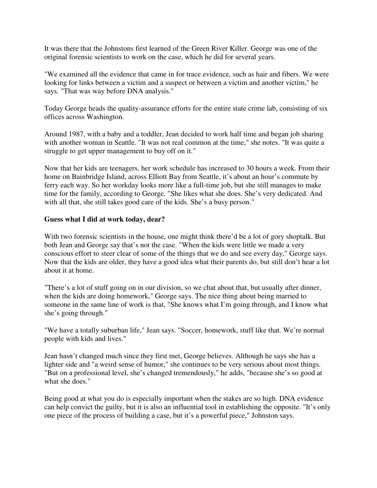It was there that the Johnstons first learned of the Green River Killer. George was one of the original forensic scientists to work on the case, which he did for several years.

"We examined all the evidence that came in for trace evidence, such as hair and fibers. We were looking for links between a victim and a suspect or between a victim and another victim," he says. "That was way before DNA analysis."

Today George heads the quality-assurance efforts for the entire state crime lab, consisting of six offices across Washington.

Around 1987, with a baby and a toddler, Jean decided to work half time and began job sharing with another woman in Seattle. "It was not real common at the time," she notes. "It was quite a struggle to get upper management to buy off on it."

Now that her kids are teenagers, her work schedule has increased to 30 hours a week. From their home on Bainbridge Island, across Elliott Bay from Seattle, it's about an hour's commute by ferry each way. So her workday looks more like a full-time job, but she still manages to make time for the family, according to George. "She likes what she does. She's very dedicated. And with all that, she still takes good care of the kids. She's a busy person."

### **Guess what I did at work today, dear?**

With two forensic scientists in the house, one might think there'd be a lot of gory shoptalk. But both Jean and George say that's not the case. "When the kids were little we made a very conscious effort to steer clear of some of the things that we do and see every day," George says. Now that the kids are older, they have a good idea what their parents do, but still don't hear a lot about it at home.

"There's a lot of stuff going on in our division, so we chat about that, but usually after dinner, when the kids are doing homework," George says. The nice thing about being married to someone in the same line of work is that, "She knows what I'm going through, and I know what she's going through."

"We have a totally suburban life," Jean says. "Soccer, homework, stuff like that. We're normal people with kids and lives."

Jean hasn't changed much since they first met, George believes. Although he says she has a lighter side and "a weird sense of humor," she continues to be very serious about most things. "But on a professional level, she's changed tremendously," he adds, "because she's so good at what she does."

Being good at what you do is especially important when the stakes are so high. DNA evidence can help convict the guilty, but it is also an influential tool in establishing the opposite. "It's only one piece of the process of building a case, but it's a powerful piece," Johnston says.